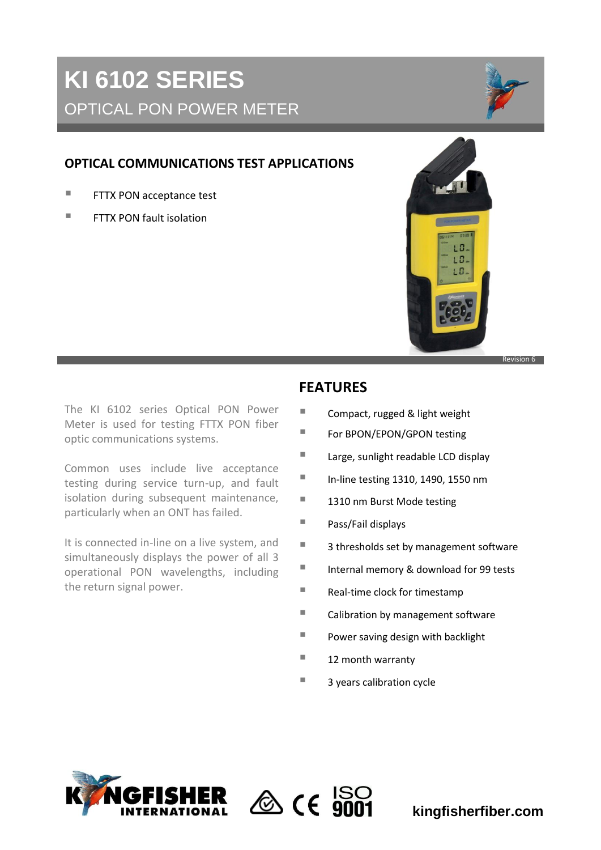# **KI 6102 SERIES** OPTICAL PON POWER METER

# **OPTICAL COMMUNICATIONS TEST APPLICATIONS**

- **FTTX PON acceptance test**
- **FITTX PON fault isolation**



The KI 6102 series Optical PON Power Meter is used for testing FTTX PON fiber optic communications systems.

Common uses include live acceptance testing during service turn-up, and fault isolation during subsequent maintenance, particularly when an ONT has failed.

It is connected in-line on a live system, and simultaneously displays the power of all 3 operational PON wavelengths, including the return signal power.

# **FEATURES**

- Compact, rugged & light weight
- For BPON/EPON/GPON testing
- **Large, sunlight readable LCD display**
- $\blacksquare$  In-line testing 1310, 1490, 1550 nm
- 1310 nm Burst Mode testing
- Pass/Fail displays
- 3 thresholds set by management software
- Internal memory & download for 99 tests
- $\blacksquare$  Real-time clock for timestamp
- Calibration by management software
- **Power saving design with backlight**
- $\blacksquare$  12 month warranty
- $\blacksquare$  3 years calibration cycle





**kingfisherfiber.com**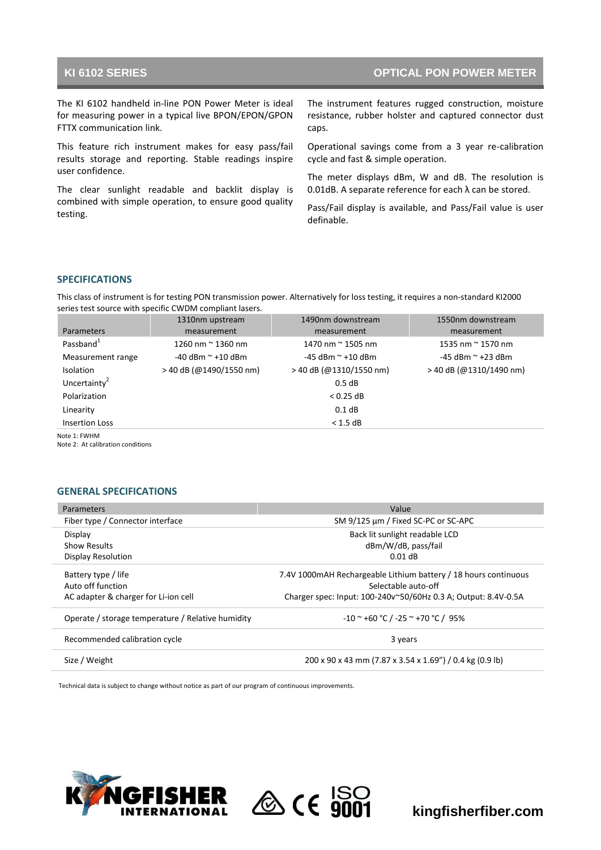## **KI 6102 SERIES OPTICAL PON POWER METER**

The KI 6102 handheld in-line PON Power Meter is ideal for measuring power in a typical live BPON/EPON/GPON FTTX communication link.

This feature rich instrument makes for easy pass/fail results storage and reporting. Stable readings inspire user confidence.

The clear sunlight readable and backlit display is combined with simple operation, to ensure good quality testing.

The instrument features rugged construction, moisture resistance, rubber holster and captured connector dust caps.

Operational savings come from a 3 year re-calibration cycle and fast & simple operation.

The meter displays dBm, W and dB. The resolution is 0.01dB. A separate reference for each λ can be stored.

Pass/Fail display is available, and Pass/Fail value is user definable.

### **SPECIFICATIONS**

This class of instrument is for testing PON transmission power. Alternatively for loss testing, it requires a non-standard KI2000 series test source with specific CWDM compliant lasers.

|                          | 1310nm upstream           | 1490nm downstream         | 1550nm downstream         |
|--------------------------|---------------------------|---------------------------|---------------------------|
| <b>Parameters</b>        | measurement               | measurement               | measurement               |
| Passband <sup>1</sup>    | 1260 nm $\approx$ 1360 nm | 1470 nm $\approx$ 1505 nm | 1535 nm $\approx$ 1570 nm |
| Measurement range        | $-40$ dBm $\sim$ +10 dBm  | $-45$ dBm $\sim$ +10 dBm  | $-45$ dBm $\sim$ +23 dBm  |
| <b>Isolation</b>         | $>$ 40 dB (@1490/1550 nm) | > 40 dB (@1310/1550 nm)   | $>$ 40 dB (@1310/1490 nm) |
| Uncertainty <sup>2</sup> |                           | 0.5 dB                    |                           |
| Polarization             |                           | $< 0.25$ dB               |                           |
| Linearity                |                           | $0.1$ dB                  |                           |
| <b>Insertion Loss</b>    |                           | $< 1.5$ dB                |                           |
| Note 1: FWHM             |                           |                           |                           |

Note 2: At calibration conditions

### **GENERAL SPECIFICATIONS**

| Parameters                                        | Value                                                            |
|---------------------------------------------------|------------------------------------------------------------------|
| Fiber type / Connector interface                  | SM 9/125 µm / Fixed SC-PC or SC-APC                              |
| Display                                           | Back lit sunlight readable LCD                                   |
| <b>Show Results</b>                               | dBm/W/dB, pass/fail                                              |
| Display Resolution                                | $0.01$ dB                                                        |
| Battery type / life                               | 7.4V 1000 mAH Rechargeable Lithium battery / 18 hours continuous |
| Auto off function                                 | Selectable auto-off                                              |
| AC adapter & charger for Li-ion cell              | Charger spec: Input: 100-240v~50/60Hz 0.3 A; Output: 8.4V-0.5A   |
| Operate / storage temperature / Relative humidity | $-10$ ~ +60 °C / -25 ~ +70 °C / 95%                              |
| Recommended calibration cycle                     | 3 years                                                          |
| Size / Weight                                     | 200 x 90 x 43 mm (7.87 x 3.54 x 1.69") / 0.4 kg (0.9 lb)         |

Technical data is subject to change without notice as part of our program of continuous improvements.





**kingfisherfiber.com**